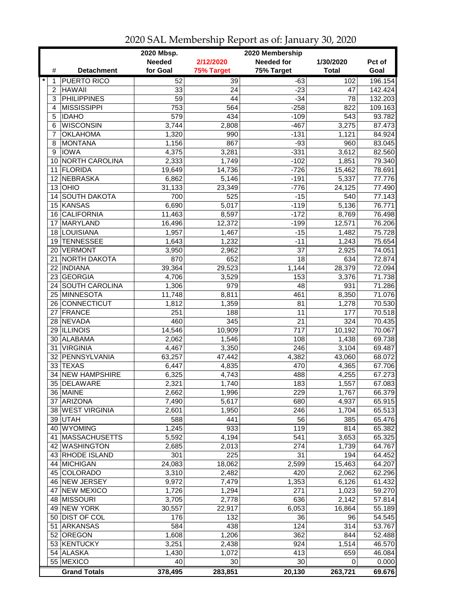|                 |                       | 2020 Mbsp.      |                 | 2020 Membership   |              |         |
|-----------------|-----------------------|-----------------|-----------------|-------------------|--------------|---------|
|                 |                       | <b>Needed</b>   | 2/12/2020       | <b>Needed for</b> | 1/30/2020    | Pct of  |
| #               | <b>Detachment</b>     | for Goal        | 75% Target      | 75% Target        | <b>Total</b> | Goal    |
| $\ast$<br>1     | <b>PUERTO RICO</b>    | 52              | 39              | $-63$             | 102          | 196.154 |
| 2               | <b>HAWAII</b>         | 33              | 24              | $-23$             | 47           | 142.424 |
| 3               | <b>PHILIPPINES</b>    | $\overline{59}$ | $\overline{44}$ | $-34$             | 78           | 132.203 |
| 4               | <b>MISSISSIPPI</b>    | 753             | 564             | $-258$            | 822          | 109.163 |
| 5               | <b>IDAHO</b>          | 579             | 434             | $-109$            | 543          | 93.782  |
| 6               | <b>WISCONSIN</b>      | 3,744           | 2,808           | $-467$            | 3,275        | 87.473  |
| 7               | <b>OKLAHOMA</b>       | 1,320           | 990             | $-131$            | 1,121        | 84.924  |
| 8               | <b>MONTANA</b>        | 1,156           | 867             | $-93$             | 960          | 83.045  |
| 9               | <b>IOWA</b>           | 4,375           | 3,281           | $-331$            | 3,612        | 82.560  |
| 10              | <b>NORTH CAROLINA</b> | 2,333           | 1,749           | $-102$            | 1,851        | 79.340  |
| 11              | <b>FLORIDA</b>        | 19,649          | 14,736          | $-726$            | 15,462       | 78.691  |
| 12              | <b>NEBRASKA</b>       | 6,862           | 5,146           | $-191$            | 5,337        | 77.776  |
|                 | $13$ OHIO             | 31,133          | 23,349          | $-776$            | 24,125       | 77.490  |
| 14              | SOUTH DAKOTA          | 700             | 525             | $-15$             | 540          | 77.143  |
|                 | 15 KANSAS             | 6,690           | 5,017           | $-119$            | 5,136        | 76.771  |
| 16 <sup>1</sup> | <b>CALIFORNIA</b>     | 11,463          | 8,597           | $-172$            | 8,769        | 76.498  |
| 17              | MARYLAND              | 16,496          | 12,372          | $-199$            | 12,571       | 76.206  |
|                 | 18 LOUISIANA          | 1,957           | 1,467           | $-15$             | 1,482        | 75.728  |
| 19              | <b>TENNESSEE</b>      | 1,643           | 1,232           | $-11$             | 1,243        | 75.654  |
|                 | 20 VERMONT            | 3,950           | 2,962           | 37                | 2,925        | 74.051  |
|                 | 21 NORTH DAKOTA       | 870             | 652             | 18                | 634          | 72.874  |
|                 | 22 INDIANA            | 39,364          | 29,523          | 1,144             | 28,379       | 72.094  |
|                 | 23 GEORGIA            | 4,706           | 3,529           | 153               | 3,376        | 71.738  |
|                 | 24 SOUTH CAROLINA     | 1,306           | 979             | 48                | 931          | 71.286  |
|                 | 25 MINNESOTA          | 11,748          | 8,811           | 461               | 8,350        | 71.076  |
|                 | 26 CONNECTICUT        | 1,812           | 1,359           | 81                | 1,278        | 70.530  |
| 27              | <b>FRANCE</b>         | 251             | 188             | 11                | 177          | 70.518  |
|                 | 28 NEVADA             | 460             | 345             | 21                | 324          | 70.435  |
|                 | 29 ILLINOIS           | 14,546          | 10,909          | 717               | 10,192       | 70.067  |
|                 | 30 ALABAMA            | 2,062           | 1,546           | 108               | 1,438        | 69.738  |
| 31              | <b>VIRGINIA</b>       | 4,467           | 3,350           | 246               | 3,104        | 69.487  |
|                 | 32 PENNSYLVANIA       | 63,257          | 47,442          | 4,382             | 43,060       | 68.072  |
|                 | 33 TEXAS              | 6,447           | 4,835           | 470               | 4,365        | 67.706  |
|                 | 34 NEW HAMPSHIRE      | 6,325           | 4,743           | 488               | 4,255        | 67.273  |
|                 | 35 DELAWARE           | 2,321           | 1,740           | 183               | 1,557        | 67.083  |
|                 | 36 MAINE              | 2,662           | 1,996           | 229               | 1,767        | 66.379  |
|                 | 37 ARIZONA            | 7,490           | 5,617           | 680               | 4,937        | 65.915  |
|                 | 38 WEST VIRGINIA      | 2,601           | 1,950           | 246               | 1,704        | 65.513  |
|                 | 39 UTAH               | 588             | 441             | 56                | 385          | 65.476  |
|                 | 40 WYOMING            | 1,245           | 933             | 119               | 814          | 65.382  |
|                 | 41   MASSACHUSETTS    | 5,592           | 4,194           | 541               | 3,653        | 65.325  |
|                 | 42 WASHINGTON         | 2,685           | 2,013           | 274               | 1,739        | 64.767  |
|                 | 43 RHODE ISLAND       | 301             | 225             | 31                | 194          | 64.452  |
|                 | 44 MICHIGAN           | 24,083          | 18,062          | 2,599             | 15,463       | 64.207  |
|                 | 45 COLORADO           | 3,310           | 2,482           | 420               | 2,062        | 62.296  |
|                 | 46 NEW JERSEY         | 9,972           | 7,479           | 1,353             | 6,126        | 61.432  |
|                 | 47 NEW MEXICO         | 1,726           | 1,294           | 271               | 1,023        | 59.270  |
|                 | 48 MISSOURI           | 3,705           | 2,778           | 636               | 2,142        | 57.814  |
|                 | 49 NEW YORK           | 30,557          | 22,917          | 6,053             | 16,864       | 55.189  |
|                 | 50 DIST OF COL        | 176             | 132             | 36                | 96           | 54.545  |
| 51              | <b>ARKANSAS</b>       | 584             | 438             | 124               | 314          | 53.767  |
|                 | 52 OREGON             | 1,608           | 1,206           | 362               | 844          | 52.488  |
|                 | 53 KENTUCKY           | 3,251           | 2,438           | 924               | 1,514        | 46.570  |
|                 | 54 ALASKA             | 1,430           | 1,072           | 413               | 659          | 46.084  |
|                 | 55 MEXICO             | 40              | 30              | 30                | 0            | 0.000   |
|                 | <b>Grand Totals</b>   | 378,495         | 283,851         | 20,130            | 263,721      | 69.676  |

2020 SAL Membership Report as of: January 30, 2020